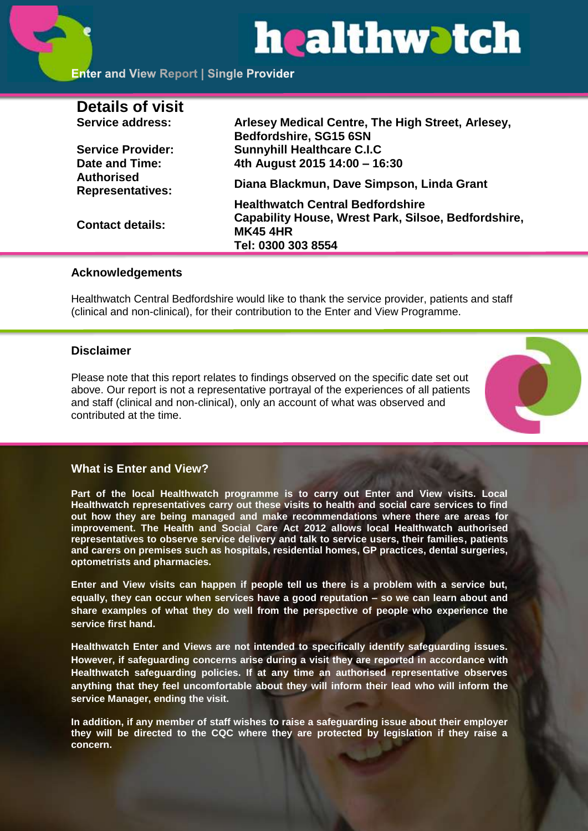# healthwatch

#### **Enter and View Report | Single Provider**

| <b>Details of visit</b>                      |                                                                                                                                                |
|----------------------------------------------|------------------------------------------------------------------------------------------------------------------------------------------------|
| Service address:                             | Arlesey Medical Centre, The High Street, Arlesey,<br>Bedfordshire, SG15 6SN                                                                    |
| <b>Service Provider:</b>                     | <b>Sunnyhill Healthcare C.I.C</b>                                                                                                              |
| Date and Time:                               | 4th August 2015 14:00 - 16:30                                                                                                                  |
| <b>Authorised</b><br><b>Representatives:</b> | Diana Blackmun, Dave Simpson, Linda Grant                                                                                                      |
| <b>Contact details:</b>                      | <b>Healthwatch Central Bedfordshire</b><br><b>Capability House, Wrest Park, Silsoe, Bedfordshire,</b><br><b>MK45 4HR</b><br>Tel: 0300 303 8554 |
|                                              |                                                                                                                                                |

#### **Acknowledgements**

Healthwatch Central Bedfordshire would like to thank the service provider, patients and staff (clinical and non-clinical), for their contribution to the Enter and View Programme.

#### **Disclaimer**

Please note that this report relates to findings observed on the specific date set out above. Our report is not a representative portrayal of the experiences of all patients and staff (clinical and non-clinical), only an account of what was observed and contributed at the time.



#### **What is Enter and View?**

**Part of the local Healthwatch programme is to carry out Enter and View visits. Local Healthwatch representatives carry out these visits to health and social care services to find out how they are being managed and make recommendations where there are areas for improvement. The Health and Social Care Act 2012 allows local Healthwatch authorised representatives to observe service delivery and talk to service users, their families, patients and carers on premises such as hospitals, residential homes, GP practices, dental surgeries, optometrists and pharmacies.** 

**Enter and View visits can happen if people tell us there is a problem with a service but, equally, they can occur when services have a good reputation – so we can learn about and share examples of what they do well from the perspective of people who experience the service first hand.**

**Healthwatch Enter and Views are not intended to specifically identify safeguarding issues. However, if safeguarding concerns arise during a visit they are reported in accordance with Healthwatch safeguarding policies. If at any time an authorised representative observes anything that they feel uncomfortable about they will inform their lead who will inform the service Manager, ending the visit.** 

**In addition, if any member of staff wishes to raise a safeguarding issue about their employer they will be directed to the CQC where they are protected by legislation if they raise a concern.**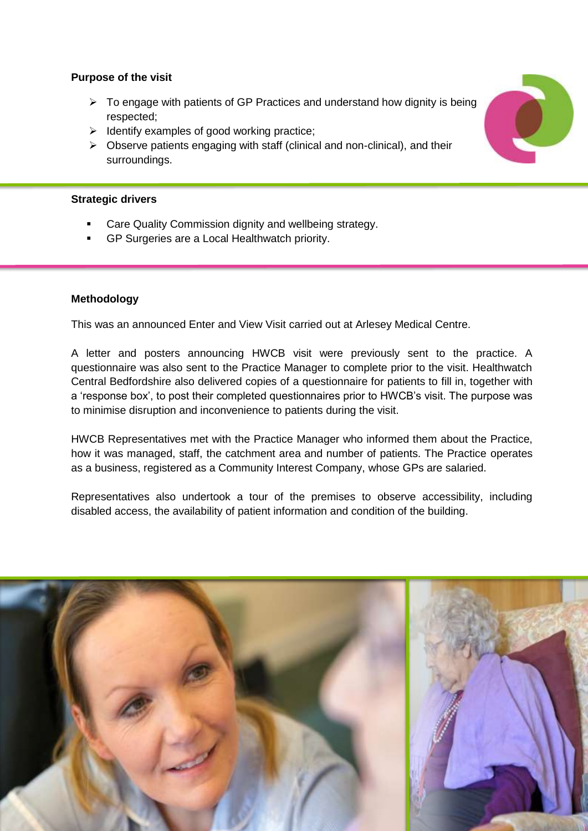#### **Purpose of the visit**

- $\triangleright$  To engage with patients of GP Practices and understand how dignity is being respected;
- $\triangleright$  Identify examples of good working practice;
- $\triangleright$  Observe patients engaging with staff (clinical and non-clinical), and their surroundings.

#### **Strategic drivers**

- Care Quality Commission dignity and wellbeing strategy.
- GP Surgeries are a Local Healthwatch priority.

#### **Methodology**

This was an announced Enter and View Visit carried out at Arlesey Medical Centre.

A letter and posters announcing HWCB visit were previously sent to the practice. A questionnaire was also sent to the Practice Manager to complete prior to the visit. Healthwatch Central Bedfordshire also delivered copies of a questionnaire for patients to fill in, together with a 'response box', to post their completed questionnaires prior to HWCB's visit. The purpose was to minimise disruption and inconvenience to patients during the visit.

HWCB Representatives met with the Practice Manager who informed them about the Practice, how it was managed, staff, the catchment area and number of patients. The Practice operates as a business, registered as a Community Interest Company, whose GPs are salaried.

Representatives also undertook a tour of the premises to observe accessibility, including disabled access, the availability of patient information and condition of the building.



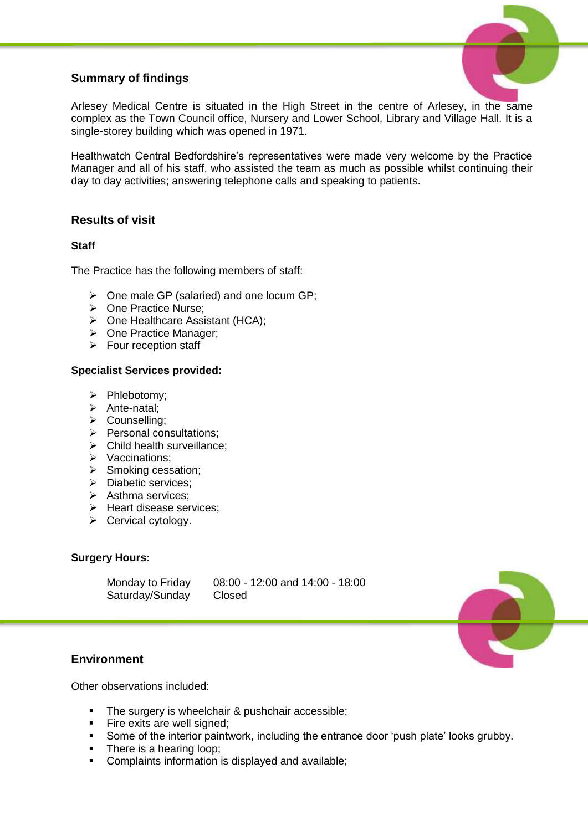### **Summary of findings**



Arlesey Medical Centre is situated in the High Street in the centre of Arlesey, in the same complex as the Town Council office, Nursery and Lower School, Library and Village Hall. It is a single-storey building which was opened in 1971.

Healthwatch Central Bedfordshire's representatives were made very welcome by the Practice Manager and all of his staff, who assisted the team as much as possible whilst continuing their day to day activities; answering telephone calls and speaking to patients.

#### **Results of visit**

#### **Staff**

The Practice has the following members of staff:

- $\triangleright$  One male GP (salaried) and one locum GP;
- **▶ One Practice Nurse:**
- $\triangleright$  One Healthcare Assistant (HCA):
- $\triangleright$  One Practice Manager:
- $\triangleright$  Four reception staff

#### **Specialist Services provided:**

- $\triangleright$  Phlebotomy:
- $\triangleright$  Ante-natal;
- > Counselling;
- $\triangleright$  Personal consultations;
- $\triangleright$  Child health surveillance;
- ▶ Vaccinations;
- $\triangleright$  Smoking cessation;
- > Diabetic services:
- $\triangleright$  Asthma services:
- $\triangleright$  Heart disease services;
- $\triangleright$  Cervical cytology.

#### **Surgery Hours:**

Saturday/Sunday Closed

Monday to Friday 08:00 - 12:00 and 14:00 - 18:00

#### **Environment**

Other observations included:

- The surgery is wheelchair & pushchair accessible;
- **Fire exits are well signed;**
- Some of the interior paintwork, including the entrance door 'push plate' looks grubby.
- There is a hearing loop;
- **Complaints information is displayed and available;**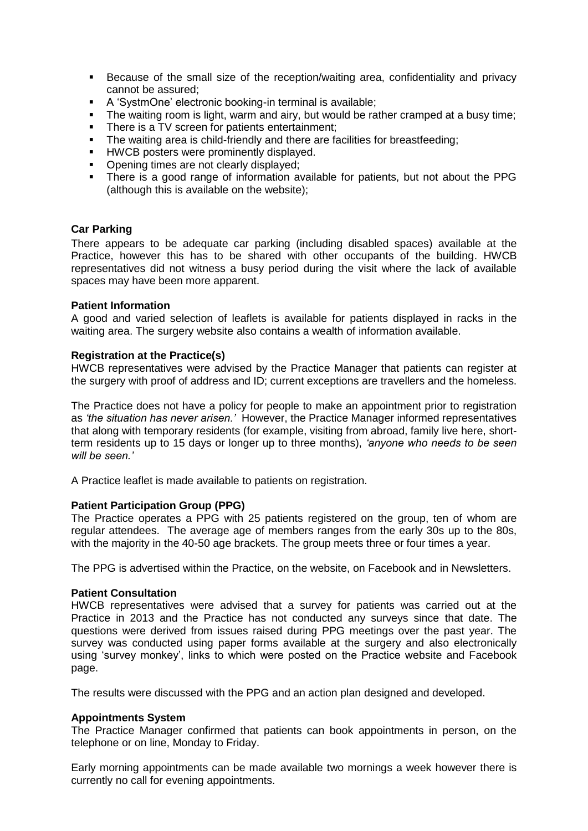- Because of the small size of the reception/waiting area, confidentiality and privacy cannot be assured;
- A 'SystmOne' electronic booking-in terminal is available;
- The waiting room is light, warm and airy, but would be rather cramped at a busy time;<br>There is a TV screen for patients entertainment:
- There is a TV screen for patients entertainment;
- The waiting area is child-friendly and there are facilities for breastfeeding;
- **HWCB posters were prominently displayed.**
- Opening times are not clearly displayed;
- There is a good range of information available for patients, but not about the PPG (although this is available on the website);

#### **Car Parking**

There appears to be adequate car parking (including disabled spaces) available at the Practice, however this has to be shared with other occupants of the building. HWCB representatives did not witness a busy period during the visit where the lack of available spaces may have been more apparent.

#### **Patient Information**

A good and varied selection of leaflets is available for patients displayed in racks in the waiting area. The surgery website also contains a wealth of information available.

#### **Registration at the Practice(s)**

HWCB representatives were advised by the Practice Manager that patients can register at the surgery with proof of address and ID; current exceptions are travellers and the homeless.

The Practice does not have a policy for people to make an appointment prior to registration as *'the situation has never arisen.'* However, the Practice Manager informed representatives that along with temporary residents (for example, visiting from abroad, family live here, shortterm residents up to 15 days or longer up to three months), *'anyone who needs to be seen will be seen.'*

A Practice leaflet is made available to patients on registration.

#### **Patient Participation Group (PPG)**

The Practice operates a PPG with 25 patients registered on the group, ten of whom are regular attendees. The average age of members ranges from the early 30s up to the 80s, with the majority in the 40-50 age brackets. The group meets three or four times a year.

The PPG is advertised within the Practice, on the website, on Facebook and in Newsletters.

#### **Patient Consultation**

HWCB representatives were advised that a survey for patients was carried out at the Practice in 2013 and the Practice has not conducted any surveys since that date. The questions were derived from issues raised during PPG meetings over the past year. The survey was conducted using paper forms available at the surgery and also electronically using 'survey monkey', links to which were posted on the Practice website and Facebook page.

The results were discussed with the PPG and an action plan designed and developed.

#### **Appointments System**

The Practice Manager confirmed that patients can book appointments in person, on the telephone or on line, Monday to Friday.

Early morning appointments can be made available two mornings a week however there is currently no call for evening appointments.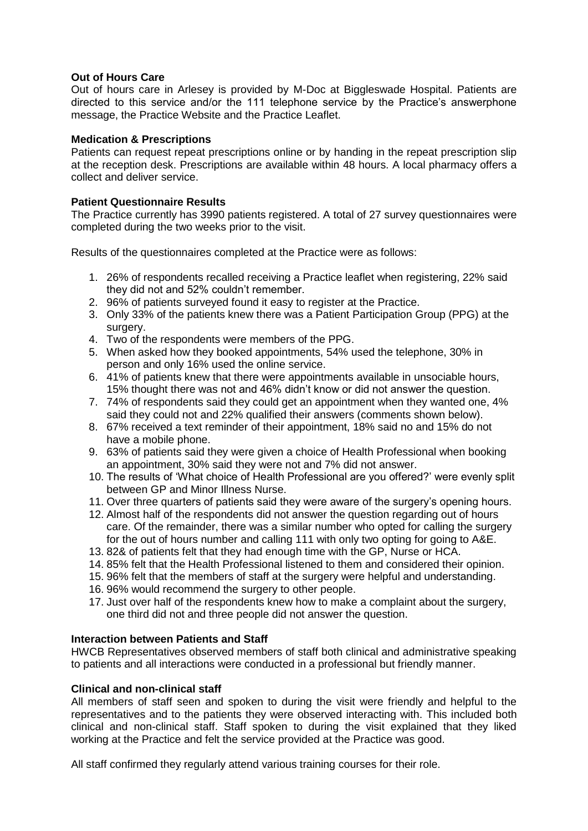#### **Out of Hours Care**

Out of hours care in Arlesey is provided by M-Doc at Biggleswade Hospital. Patients are directed to this service and/or the 111 telephone service by the Practice's answerphone message, the Practice Website and the Practice Leaflet.

#### **Medication & Prescriptions**

Patients can request repeat prescriptions online or by handing in the repeat prescription slip at the reception desk. Prescriptions are available within 48 hours. A local pharmacy offers a collect and deliver service.

#### **Patient Questionnaire Results**

The Practice currently has 3990 patients registered. A total of 27 survey questionnaires were completed during the two weeks prior to the visit.

Results of the questionnaires completed at the Practice were as follows:

- 1. 26% of respondents recalled receiving a Practice leaflet when registering, 22% said they did not and 52% couldn't remember.
- 2. 96% of patients surveyed found it easy to register at the Practice.
- 3. Only 33% of the patients knew there was a Patient Participation Group (PPG) at the surgery.
- 4. Two of the respondents were members of the PPG.
- 5. When asked how they booked appointments, 54% used the telephone, 30% in person and only 16% used the online service.
- 6. 41% of patients knew that there were appointments available in unsociable hours, 15% thought there was not and 46% didn't know or did not answer the question.
- 7. 74% of respondents said they could get an appointment when they wanted one, 4% said they could not and 22% qualified their answers (comments shown below).
- 8. 67% received a text reminder of their appointment, 18% said no and 15% do not have a mobile phone.
- 9. 63% of patients said they were given a choice of Health Professional when booking an appointment, 30% said they were not and 7% did not answer.
- 10. The results of 'What choice of Health Professional are you offered?' were evenly split between GP and Minor Illness Nurse.
- 11. Over three quarters of patients said they were aware of the surgery's opening hours.
- 12. Almost half of the respondents did not answer the question regarding out of hours care. Of the remainder, there was a similar number who opted for calling the surgery for the out of hours number and calling 111 with only two opting for going to A&E.
- 13. 82& of patients felt that they had enough time with the GP, Nurse or HCA.
- 14. 85% felt that the Health Professional listened to them and considered their opinion.
- 15. 96% felt that the members of staff at the surgery were helpful and understanding.
- 16. 96% would recommend the surgery to other people.
- 17. Just over half of the respondents knew how to make a complaint about the surgery, one third did not and three people did not answer the question.

#### **Interaction between Patients and Staff**

HWCB Representatives observed members of staff both clinical and administrative speaking to patients and all interactions were conducted in a professional but friendly manner.

#### **Clinical and non-clinical staff**

All members of staff seen and spoken to during the visit were friendly and helpful to the representatives and to the patients they were observed interacting with. This included both clinical and non-clinical staff. Staff spoken to during the visit explained that they liked working at the Practice and felt the service provided at the Practice was good.

All staff confirmed they regularly attend various training courses for their role.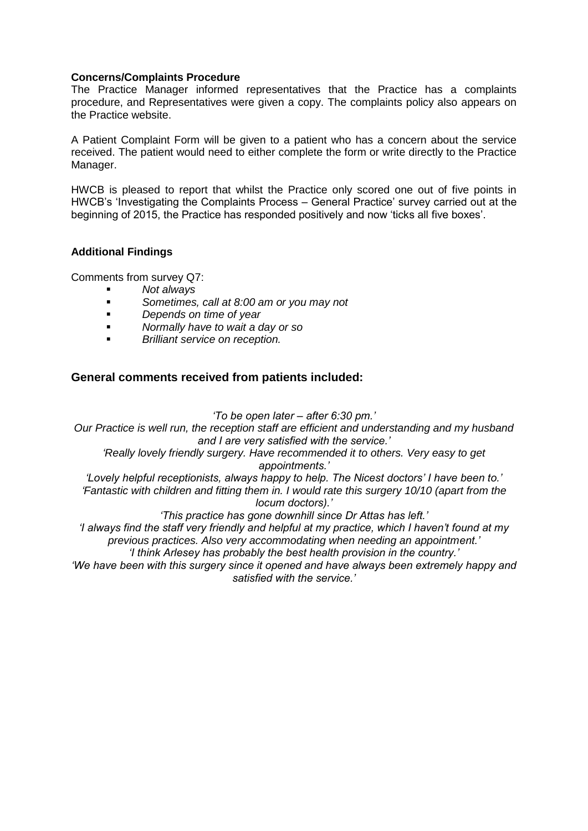#### **Concerns/Complaints Procedure**

The Practice Manager informed representatives that the Practice has a complaints procedure, and Representatives were given a copy. The complaints policy also appears on the Practice website.

A Patient Complaint Form will be given to a patient who has a concern about the service received. The patient would need to either complete the form or write directly to the Practice Manager.

HWCB is pleased to report that whilst the Practice only scored one out of five points in HWCB's 'Investigating the Complaints Process – General Practice' survey carried out at the beginning of 2015, the Practice has responded positively and now 'ticks all five boxes'.

#### **Additional Findings**

Comments from survey Q7:

- *Not always*
- *Sometimes, call at 8:00 am or you may not*
- *Depends on time of year*
- *Normally have to wait a day or so*
- *Brilliant service on reception.*

#### **General comments received from patients included:**

#### *'To be open later – after 6:30 pm.'*

*Our Practice is well run, the reception staff are efficient and understanding and my husband and I are very satisfied with the service.'*

*'Really lovely friendly surgery. Have recommended it to others. Very easy to get appointments.'*

*'Lovely helpful receptionists, always happy to help. The Nicest doctors' I have been to.' 'Fantastic with children and fitting them in. I would rate this surgery 10/10 (apart from the locum doctors).'*

*'This practice has gone downhill since Dr Attas has left.'*

*'I always find the staff very friendly and helpful at my practice, which I haven't found at my previous practices. Also very accommodating when needing an appointment.'*

*'I think Arlesey has probably the best health provision in the country.'*

*'We have been with this surgery since it opened and have always been extremely happy and satisfied with the service.'*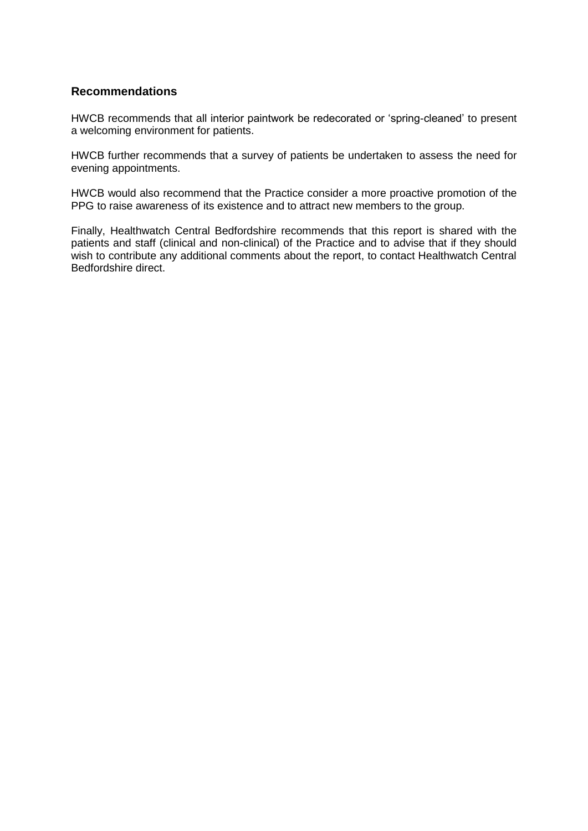#### **Recommendations**

HWCB recommends that all interior paintwork be redecorated or 'spring-cleaned' to present a welcoming environment for patients.

HWCB further recommends that a survey of patients be undertaken to assess the need for evening appointments.

HWCB would also recommend that the Practice consider a more proactive promotion of the PPG to raise awareness of its existence and to attract new members to the group.

Finally, Healthwatch Central Bedfordshire recommends that this report is shared with the patients and staff (clinical and non-clinical) of the Practice and to advise that if they should wish to contribute any additional comments about the report, to contact Healthwatch Central Bedfordshire direct.